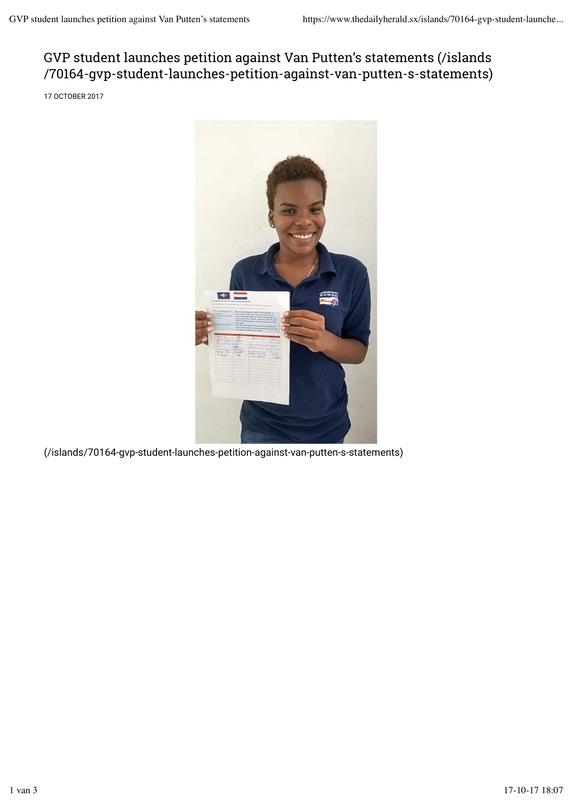## GVP student launches petition against Van Putten's statements (/islands /70164-gvp-student-launches-petition-against-van-putten-s-statements)

17 OCTOBER 2017



(/islands/70164-gvp-student-launches-petition-against-van-putten-s-statements)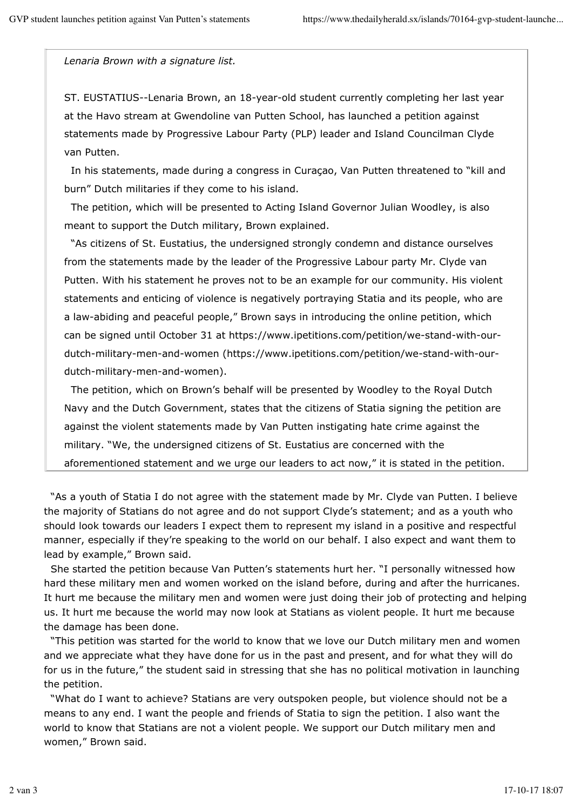*Lenaria Brown with a signature list.*

ST. EUSTATIUS--Lenaria Brown, an 18-year-old student currently completing her last year at the Havo stream at Gwendoline van Putten School, has launched a petition against statements made by Progressive Labour Party (PLP) leader and Island Councilman Clyde van Putten.

 In his statements, made during a congress in Curaçao, Van Putten threatened to "kill and burn" Dutch militaries if they come to his island.

 The petition, which will be presented to Acting Island Governor Julian Woodley, is also meant to support the Dutch military, Brown explained.

 "As citizens of St. Eustatius, the undersigned strongly condemn and distance ourselves from the statements made by the leader of the Progressive Labour party Mr. Clyde van Putten. With his statement he proves not to be an example for our community. His violent statements and enticing of violence is negatively portraying Statia and its people, who are a law-abiding and peaceful people," Brown says in introducing the online petition, which can be signed until October 31 at https://www.ipetitions.com/petition/we-stand-with-ourdutch-military-men-and-women (https://www.ipetitions.com/petition/we-stand-with-ourdutch-military-men-and-women).

 The petition, which on Brown's behalf will be presented by Woodley to the Royal Dutch Navy and the Dutch Government, states that the citizens of Statia signing the petition are against the violent statements made by Van Putten instigating hate crime against the military. "We, the undersigned citizens of St. Eustatius are concerned with the aforementioned statement and we urge our leaders to act now," it is stated in the petition.

 "As a youth of Statia I do not agree with the statement made by Mr. Clyde van Putten. I believe the majority of Statians do not agree and do not support Clyde's statement; and as a youth who should look towards our leaders I expect them to represent my island in a positive and respectful manner, especially if they're speaking to the world on our behalf. I also expect and want them to lead by example," Brown said.

 She started the petition because Van Putten's statements hurt her. "I personally witnessed how hard these military men and women worked on the island before, during and after the hurricanes. It hurt me because the military men and women were just doing their job of protecting and helping us. It hurt me because the world may now look at Statians as violent people. It hurt me because the damage has been done.

 "This petition was started for the world to know that we love our Dutch military men and women and we appreciate what they have done for us in the past and present, and for what they will do for us in the future," the student said in stressing that she has no political motivation in launching the petition.

 "What do I want to achieve? Statians are very outspoken people, but violence should not be a means to any end. I want the people and friends of Statia to sign the petition. I also want the world to know that Statians are not a violent people. We support our Dutch military men and women," Brown said.